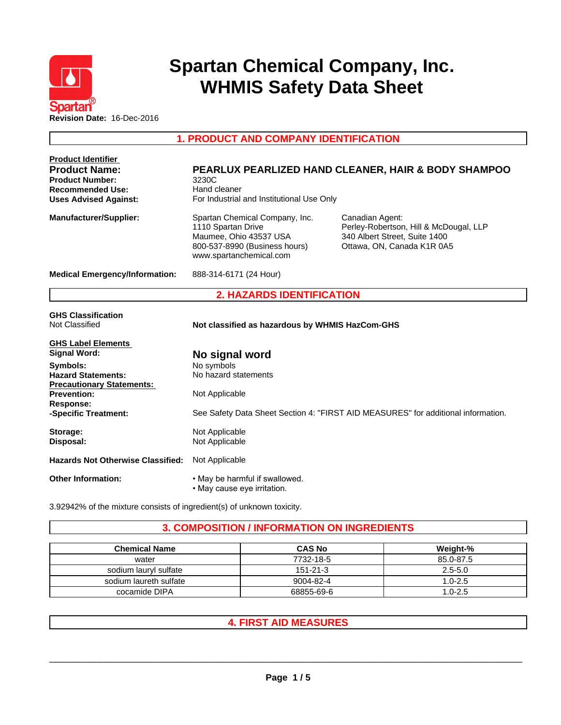

# **Spartan Chemical Company, Inc. WHMIS Safety Data Sheet**

**1. PRODUCT AND COMPANY IDENTIFICATION**

| <b>Product Identifier</b><br><b>Product Name:</b><br><b>Product Number:</b><br><b>Recommended Use:</b><br><b>Uses Advised Against:</b> | PEARLUX PEARLIZED HAND CLEANER, HAIR & BODY SHAMPOO<br>3230C<br>Hand cleaner<br>For Industrial and Institutional Use Only                  |                                                                                                                          |  |  |  |  |
|----------------------------------------------------------------------------------------------------------------------------------------|--------------------------------------------------------------------------------------------------------------------------------------------|--------------------------------------------------------------------------------------------------------------------------|--|--|--|--|
| Manufacturer/Supplier:                                                                                                                 | Spartan Chemical Company, Inc.<br>1110 Spartan Drive<br>Maumee, Ohio 43537 USA<br>800-537-8990 (Business hours)<br>www.spartanchemical.com | Canadian Agent:<br>Perley-Robertson, Hill & McDougal, LLP<br>340 Albert Street, Suite 1400<br>Ottawa, ON, Canada K1R 0A5 |  |  |  |  |
| <b>Medical Emergency/Information:</b>                                                                                                  | 888-314-6171 (24 Hour)                                                                                                                     |                                                                                                                          |  |  |  |  |
|                                                                                                                                        | <b>2. HAZARDS IDENTIFICATION</b>                                                                                                           |                                                                                                                          |  |  |  |  |
| <b>GHS Classification</b><br>Not Classified                                                                                            | Not classified as hazardous by WHMIS HazCom-GHS                                                                                            |                                                                                                                          |  |  |  |  |
| <b>GHS Label Elements</b><br><b>Signal Word:</b>                                                                                       | No signal word                                                                                                                             |                                                                                                                          |  |  |  |  |
| Symbols:<br><b>Hazard Statements:</b>                                                                                                  | No symbols<br>No hazard statements                                                                                                         |                                                                                                                          |  |  |  |  |
| <b>Precautionary Statements:</b><br><b>Prevention:</b><br>Response:                                                                    | Not Applicable                                                                                                                             |                                                                                                                          |  |  |  |  |
| -Specific Treatment:                                                                                                                   |                                                                                                                                            | See Safety Data Sheet Section 4: "FIRST AID MEASURES" for additional information.                                        |  |  |  |  |
| Storage:<br>Disposal:                                                                                                                  | Not Applicable<br>Not Applicable                                                                                                           |                                                                                                                          |  |  |  |  |
| <b>Hazards Not Otherwise Classified:</b>                                                                                               | Not Applicable                                                                                                                             |                                                                                                                          |  |  |  |  |
| <b>Other Information:</b>                                                                                                              | . May be harmful if swallowed.<br>• May cause eye irritation.                                                                              |                                                                                                                          |  |  |  |  |

3.92942% of the mixture consists of ingredient(s) of unknown toxicity.

# **3. COMPOSITION / INFORMATION ON INGREDIENTS**

| <b>Chemical Name</b>   | <b>CAS No</b>  | <b>Weight-%</b> |
|------------------------|----------------|-----------------|
| water                  | 7732-18-5      | 85.0-87.5       |
| sodium lauryl sulfate  | $151 - 21 - 3$ | $2.5 - 5.0$     |
| sodium laureth sulfate | 9004-82-4      | $1.0 - 2.5$     |
| cocamide DIPA          | 68855-69-6     | $1.0 - 2.5$     |

# **4. FIRST AID MEASURES**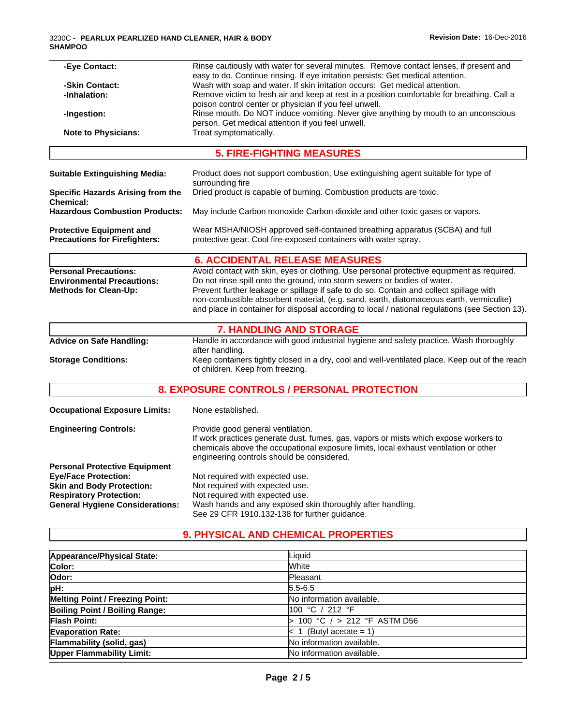| -Eye Contact:                                             | Rinse cautiously with water for several minutes. Remove contact lenses, if present and                                                                                             |
|-----------------------------------------------------------|------------------------------------------------------------------------------------------------------------------------------------------------------------------------------------|
| -Skin Contact:                                            | easy to do. Continue rinsing. If eye irritation persists: Get medical attention.<br>Wash with soap and water. If skin irritation occurs: Get medical attention.                    |
| -Inhalation:                                              | Remove victim to fresh air and keep at rest in a position comfortable for breathing. Call a                                                                                        |
|                                                           | poison control center or physician if you feel unwell.                                                                                                                             |
| -Ingestion:                                               | Rinse mouth. Do NOT induce vomiting. Never give anything by mouth to an unconscious                                                                                                |
|                                                           | person. Get medical attention if you feel unwell.                                                                                                                                  |
| <b>Note to Physicians:</b>                                | Treat symptomatically.                                                                                                                                                             |
|                                                           | <b>5. FIRE-FIGHTING MEASURES</b>                                                                                                                                                   |
| <b>Suitable Extinguishing Media:</b>                      | Product does not support combustion, Use extinguishing agent suitable for type of                                                                                                  |
|                                                           | surrounding fire                                                                                                                                                                   |
| Specific Hazards Arising from the                         | Dried product is capable of burning. Combustion products are toxic.                                                                                                                |
| <b>Chemical:</b><br><b>Hazardous Combustion Products:</b> | May include Carbon monoxide Carbon dioxide and other toxic gases or vapors.                                                                                                        |
|                                                           |                                                                                                                                                                                    |
| <b>Protective Equipment and</b>                           | Wear MSHA/NIOSH approved self-contained breathing apparatus (SCBA) and full                                                                                                        |
| <b>Precautions for Firefighters:</b>                      | protective gear. Cool fire-exposed containers with water spray.                                                                                                                    |
|                                                           | <b>6. ACCIDENTAL RELEASE MEASURES</b>                                                                                                                                              |
| <b>Personal Precautions:</b>                              | Avoid contact with skin, eyes or clothing. Use personal protective equipment as required.                                                                                          |
| <b>Environmental Precautions:</b>                         | Do not rinse spill onto the ground, into storm sewers or bodies of water.                                                                                                          |
| <b>Methods for Clean-Up:</b>                              | Prevent further leakage or spillage if safe to do so. Contain and collect spillage with<br>non-combustible absorbent material, (e.g. sand, earth, diatomaceous earth, vermiculite) |
|                                                           | and place in container for disposal according to local / national regulations (see Section 13).                                                                                    |
|                                                           |                                                                                                                                                                                    |
|                                                           | <b>7. HANDLING AND STORAGE</b>                                                                                                                                                     |
| <b>Advice on Safe Handling:</b>                           | Handle in accordance with good industrial hygiene and safety practice. Wash thoroughly<br>after handling.                                                                          |
| <b>Storage Conditions:</b>                                | Keep containers tightly closed in a dry, cool and well-ventilated place. Keep out of the reach                                                                                     |
|                                                           | of children. Keep from freezing.                                                                                                                                                   |
|                                                           | 8. EXPOSURE CONTROLS / PERSONAL PROTECTION                                                                                                                                         |
| <b>Occupational Exposure Limits:</b>                      | None established.                                                                                                                                                                  |
| <b>Engineering Controls:</b>                              | Provide good general ventilation.                                                                                                                                                  |
|                                                           | If work practices generate dust, fumes, gas, vapors or mists which expose workers to                                                                                               |
|                                                           | chemicals above the occupational exposure limits, local exhaust ventilation or other                                                                                               |
|                                                           | engineering controls should be considered.                                                                                                                                         |
| <b>Personal Protective Faujoment</b>                      |                                                                                                                                                                                    |

| Not required with expected use.                                                                             |
|-------------------------------------------------------------------------------------------------------------|
| Not required with expected use.                                                                             |
| Not required with expected use.                                                                             |
| Wash hands and any exposed skin thoroughly after handling.<br>See 29 CFR 1910.132-138 for further guidance. |
|                                                                                                             |

# **9. PHYSICAL AND CHEMICAL PROPERTIES**

| Appearance/Physical State:             | Liquid                       |  |
|----------------------------------------|------------------------------|--|
| Color:                                 | White                        |  |
| Odor:                                  | <b>Pleasant</b>              |  |
| pH:                                    | $5.5 - 6.5$                  |  |
| <b>Melting Point / Freezing Point:</b> | No information available.    |  |
| Boiling Point / Boiling Range:         | 100 °C / 212 °F              |  |
| <b>Flash Point:</b>                    | 100 °C $/$ > 212 °F ASTM D56 |  |
| <b>Evaporation Rate:</b>               | $< 1$ (Butyl acetate = 1)    |  |
| Flammability (solid, gas)              | No information available.    |  |
| <b>Upper Flammability Limit:</b>       | No information available.    |  |
|                                        |                              |  |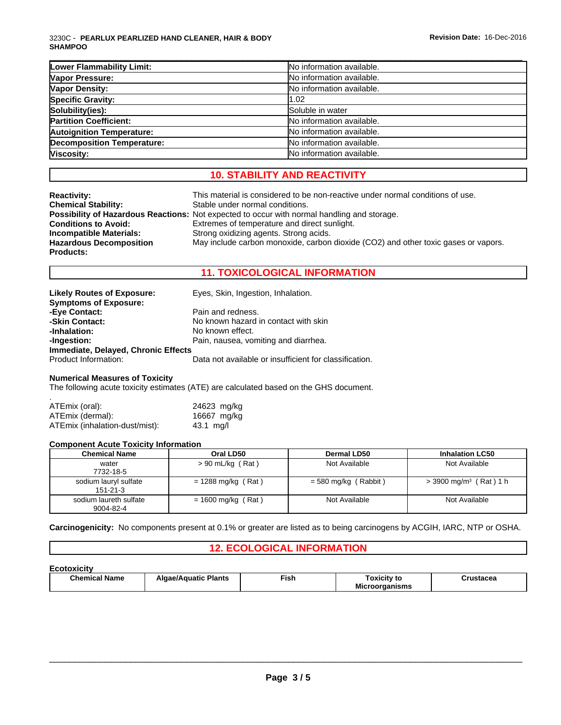#### 3230C - **PEARLUX PEARLIZED HAND CLEANER, HAIR & BODY SHAMPOO**

| Lower Flammability Limit:         | No information available. |
|-----------------------------------|---------------------------|
| Vapor Pressure:                   | No information available. |
| <b>Vapor Density:</b>             | No information available. |
| <b>Specific Gravity:</b>          | 1.02                      |
| Solubility(ies):                  | Soluble in water          |
| <b>Partition Coefficient:</b>     | No information available. |
| <b>Autoignition Temperature:</b>  | No information available. |
| <b>Decomposition Temperature:</b> | No information available. |
| Viscosity:                        | No information available. |

\_\_\_\_\_\_\_\_\_\_\_\_\_\_\_\_\_\_\_\_\_\_\_\_\_\_\_\_\_\_\_\_\_\_\_\_\_\_\_\_\_\_\_\_\_\_\_\_\_\_\_\_\_\_\_\_\_\_\_\_\_\_\_\_\_\_\_\_\_\_\_\_\_\_\_\_\_\_\_\_\_\_\_\_\_\_\_\_\_\_\_\_\_

# **10. STABILITY AND REACTIVITY**

| <b>Reactivity:</b>             | This material is considered to be non-reactive under normal conditions of use.                     |
|--------------------------------|----------------------------------------------------------------------------------------------------|
| <b>Chemical Stability:</b>     | Stable under normal conditions.                                                                    |
|                                | <b>Possibility of Hazardous Reactions:</b> Not expected to occur with normal handling and storage. |
| <b>Conditions to Avoid:</b>    | Extremes of temperature and direct sunlight.                                                       |
| Incompatible Materials:        | Strong oxidizing agents. Strong acids.                                                             |
| <b>Hazardous Decomposition</b> | May include carbon monoxide, carbon dioxide (CO2) and other toxic gases or vapors.                 |
| <b>Products:</b>               |                                                                                                    |

## **11. TOXICOLOGICAL INFORMATION**

| <b>Likely Routes of Exposure:</b><br><b>Symptoms of Exposure:</b> | Eyes, Skin, Ingestion, Inhalation.                     |
|-------------------------------------------------------------------|--------------------------------------------------------|
| -Eye Contact:                                                     | Pain and redness.                                      |
| -Skin Contact:                                                    | No known hazard in contact with skin                   |
| -Inhalation:                                                      | No known effect.                                       |
| -Ingestion:                                                       | Pain, nausea, vomiting and diarrhea.                   |
| Immediate, Delayed, Chronic Effects                               |                                                        |
| Product Information:                                              | Data not available or insufficient for classification. |

#### **Numerical Measures of Toxicity**

The following acute toxicity estimates (ATE) are calculated based on the GHS document.

| ATEmix (oral):                 | 24623 mg/kg |  |
|--------------------------------|-------------|--|
| ATEmix (dermal):               | 16667 mg/kg |  |
| ATEmix (inhalation-dust/mist): | 43.1 mg/l   |  |

#### **Component Acute Toxicity Information**

| Chemical Name                           | Oral LD50            | Dermal LD50          | <b>Inhalation LC50</b>               |
|-----------------------------------------|----------------------|----------------------|--------------------------------------|
| water<br>7732-18-5                      | $> 90$ mL/kg (Rat)   | Not Available        | Not Available                        |
| sodium lauryl sulfate<br>$151 - 21 - 3$ | $= 1288$ mg/kg (Rat) | = 580 mg/kg (Rabbit) | $>$ 3900 mg/m <sup>3</sup> (Rat) 1 h |
| sodium laureth sulfate<br>9004-82-4     | $= 1600$ mg/kg (Rat) | Not Available        | Not Available                        |

**Carcinogenicity:** No components present at 0.1% or greater are listed as to being carcinogens by ACGIH, IARC, NTP or OSHA.

## **12. ECOLOGICAL INFORMATION**

### **Ecotoxicity**

| -----------               |               |           |          |              |  |  |
|---------------------------|---------------|-----------|----------|--------------|--|--|
| . .<br>ham<br>Name<br>лıс | ≌lants<br>יור | -<br>Fish |          | $ \sim$<br>. |  |  |
|                           |               |           | MIC<br>. |              |  |  |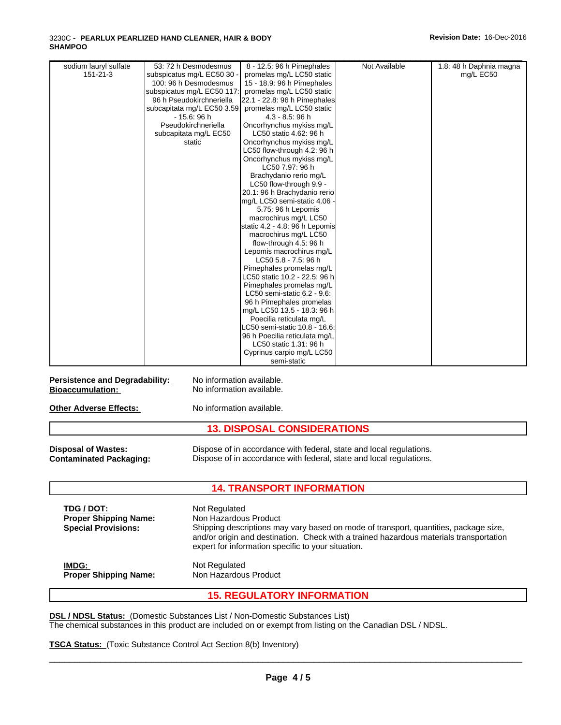#### 3230C - **PEARLUX PEARLIZED HAND CLEANER, HAIR & BODY SHAMPOO**

| sodium lauryl sulfate | 53: 72 h Desmodesmus       | 8 - 12.5: 96 h Pimephales      | Not Available | 1.8: 48 h Daphnia magna |  |
|-----------------------|----------------------------|--------------------------------|---------------|-------------------------|--|
| 151-21-3              | subspicatus mg/L EC50 30 - | promelas mg/L LC50 static      |               | mg/L EC50               |  |
|                       | 100: 96 h Desmodesmus      | 15 - 18.9: 96 h Pimephales     |               |                         |  |
|                       | subspicatus mg/L EC50 117: | promelas mg/L LC50 static      |               |                         |  |
|                       | 96 h Pseudokirchneriella   | 22.1 - 22.8: 96 h Pimephales   |               |                         |  |
|                       | subcapitata mg/L EC50 3.59 | promelas mg/L LC50 static      |               |                         |  |
|                       | $-15.6:96h$                | $4.3 - 8.5$ : 96 h             |               |                         |  |
|                       | Pseudokirchneriella        | Oncorhynchus mykiss mg/L       |               |                         |  |
|                       | subcapitata mg/L EC50      | LC50 static 4.62: 96 h         |               |                         |  |
|                       | static                     | Oncorhynchus mykiss mg/L       |               |                         |  |
|                       |                            | LC50 flow-through 4.2: 96 h    |               |                         |  |
|                       |                            | Oncorhynchus mykiss mg/L       |               |                         |  |
|                       |                            | LC50 7.97: 96 h                |               |                         |  |
|                       |                            | Brachydanio rerio mg/L         |               |                         |  |
|                       |                            | LC50 flow-through 9.9 -        |               |                         |  |
|                       |                            | 20.1: 96 h Brachydanio rerio   |               |                         |  |
|                       |                            | mg/L LC50 semi-static 4.06 -   |               |                         |  |
|                       |                            | 5.75: 96 h Lepomis             |               |                         |  |
|                       |                            | macrochirus mg/L LC50          |               |                         |  |
|                       |                            | static 4.2 - 4.8: 96 h Lepomis |               |                         |  |
|                       |                            | macrochirus mg/L LC50          |               |                         |  |
|                       |                            | flow-through 4.5: 96 h         |               |                         |  |
|                       |                            | Lepomis macrochirus mg/L       |               |                         |  |
|                       |                            | LC50 5.8 - 7.5: 96 h           |               |                         |  |
|                       |                            | Pimephales promelas mg/L       |               |                         |  |
|                       |                            | LC50 static 10.2 - 22.5: 96 h  |               |                         |  |
|                       |                            | Pimephales promelas mg/L       |               |                         |  |
|                       |                            | LC50 semi-static 6.2 - 9.6:    |               |                         |  |
|                       |                            | 96 h Pimephales promelas       |               |                         |  |
|                       |                            | mg/L LC50 13.5 - 18.3: 96 h    |               |                         |  |
|                       |                            | Poecilia reticulata mg/L       |               |                         |  |
|                       |                            | LC50 semi-static 10.8 - 16.6:  |               |                         |  |
|                       |                            | 96 h Poecilia reticulata mg/L  |               |                         |  |
|                       |                            | LC50 static 1.31: 96 h         |               |                         |  |
|                       |                            | Cyprinus carpio mg/L LC50      |               |                         |  |
|                       |                            | semi-static                    |               |                         |  |

**Persistence and Degradability:** No information available.<br> **Bioaccumulation:** No information available.

No information available.

**Other Adverse Effects:** No information available.

## **13. DISPOSAL CONSIDERATIONS**

**Disposal of Wastes:** Dispose of in accordance with federal, state and local regulations. **Contaminated Packaging:** Dispose of in accordance with federal, state and local regulations.

## **14. TRANSPORT INFORMATION**

| TDG / DOT:<br><b>Proper Shipping Name:</b><br><b>Special Provisions:</b> | Not Regulated<br>Non Hazardous Product<br>Shipping descriptions may vary based on mode of transport, quantities, package size,<br>and/or origin and destination. Check with a trained hazardous materials transportation<br>expert for information specific to your situation. |
|--------------------------------------------------------------------------|--------------------------------------------------------------------------------------------------------------------------------------------------------------------------------------------------------------------------------------------------------------------------------|
| IMDG:                                                                    | Not Regulated                                                                                                                                                                                                                                                                  |
| <b>Proper Shipping Name:</b>                                             | Non Hazardous Product                                                                                                                                                                                                                                                          |

## **15. REGULATORY INFORMATION**

**DSL / NDSL Status:** (Domestic Substances List / Non-Domestic Substances List) The chemical substances in this product are included on or exempt from listing on the Canadian DSL / NDSL.

**TSCA Status:** (Toxic Substance Control Act Section 8(b) Inventory)